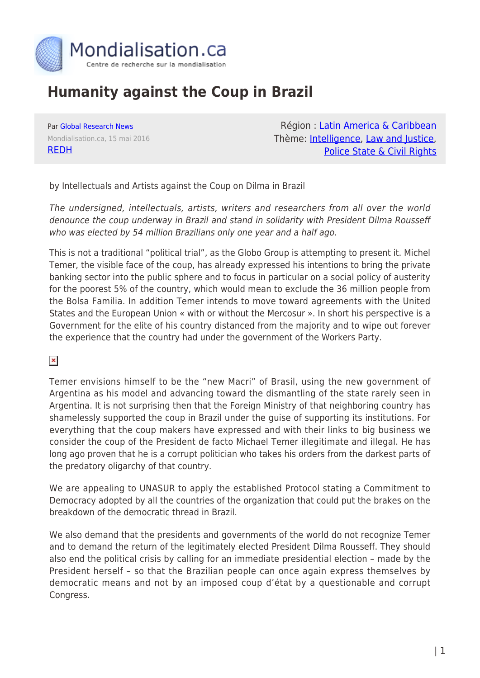

## **Humanity against the Coup in Brazil**

Par [Global Research News](https://www.mondialisation.ca/author/global-research-news) Mondialisation.ca, 15 mai 2016 [REDH](http://www.defensadelahumanidad.org/index.php/en-defensa-de/soberania-y-la-legalidad-internacional/1441-la-humanidad-contra-el-golpe-en-brasil)

Région : [Latin America & Caribbean](https://www.mondialisation.ca/region/latin-america-caribbean) Thème: **Intelligence**, [Law and Justice](https://www.mondialisation.ca/theme/law-and-justice), [Police State & Civil Rights](https://www.mondialisation.ca/theme/police-state-civil-rights)

by Intellectuals and Artists against the Coup on Dilma in Brazil

The undersigned, intellectuals, artists, writers and researchers from all over the world denounce the coup underway in Brazil and stand in solidarity with President Dilma Rousseff who was elected by 54 million Brazilians only one year and a half ago.

This is not a traditional "political trial", as the Globo Group is attempting to present it. Michel Temer, the visible face of the coup, has already expressed his intentions to bring the private banking sector into the public sphere and to focus in particular on a social policy of austerity for the poorest 5% of the country, which would mean to exclude the 36 million people from the Bolsa Familia. In addition Temer intends to move toward agreements with the United States and the European Union « with or without the Mercosur ». In short his perspective is a Government for the elite of his country distanced from the majority and to wipe out forever the experience that the country had under the government of the Workers Party.

 $\pmb{\times}$ 

Temer envisions himself to be the "new Macri" of Brasil, using the new government of Argentina as his model and advancing toward the dismantling of the state rarely seen in Argentina. It is not surprising then that the Foreign Ministry of that neighboring country has shamelessly supported the coup in Brazil under the guise of supporting its institutions. For everything that the coup makers have expressed and with their links to big business we consider the coup of the President de facto Michael Temer illegitimate and illegal. He has long ago proven that he is a corrupt politician who takes his orders from the darkest parts of the predatory oligarchy of that country.

We are appealing to UNASUR to apply the established Protocol stating a Commitment to Democracy adopted by all the countries of the organization that could put the brakes on the breakdown of the democratic thread in Brazil.

We also demand that the presidents and governments of the world do not recognize Temer and to demand the return of the legitimately elected President Dilma Rousseff. They should also end the political crisis by calling for an immediate presidential election – made by the President herself – so that the Brazilian people can once again express themselves by democratic means and not by an imposed coup d'état by a questionable and corrupt Congress.